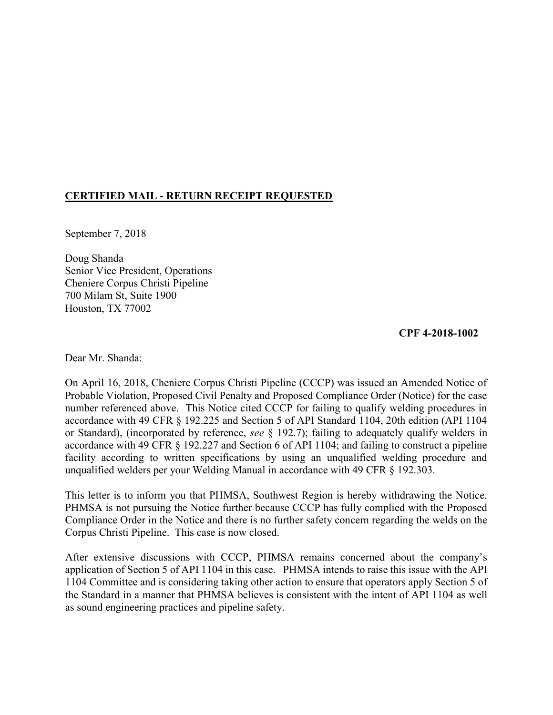## CERTIFIED MAIL - RETURN RECEIPT REQUESTED

September 7, 2018

 Doug Shanda Senior Vice President, Operations Cheniere Corpus Christi Pipeline 700 Milam St, Suite 1900 Houston, TX 77002

CPF 4-2018-1002

Dear Mr. Shanda:

 On April 16, 2018, Cheniere Corpus Christi Pipeline (CCCP) was issued an Amended Notice of Probable Violation, Proposed Civil Penalty and Proposed Compliance Order (Notice) for the case number referenced above. This Notice cited CCCP for failing to qualify welding procedures in accordance with 49 CFR § 192.225 and Section 5 of API Standard 1104, 20th edition (API 1104 or Standard), (incorporated by reference, see  $\S$  192.7); failing to adequately qualify welders in accordance with 49 CFR § 192.227 and Section 6 of API 1104; and failing to construct a pipeline facility according to written specifications by using an unqualified welding procedure and unqualified welders per your Welding Manual in accordance with 49 CFR § 192.303.

 This letter is to inform you that PHMSA, Southwest Region is hereby withdrawing the Notice. PHMSA is not pursuing the Notice further because CCCP has fully complied with the Proposed Compliance Order in the Notice and there is no further safety concern regarding the welds on the Corpus Christi Pipeline. This case is now closed.

 After extensive discussions with CCCP, PHMSA remains concerned about the company's application of Section 5 of API 1104 in this case. PHMSA intends to raise this issue with the API 1104 Committee and is considering taking other action to ensure that operators apply Section 5 of the Standard in a manner that PHMSA believes is consistent with the intent of API 1104 as well as sound engineering practices and pipeline safety.